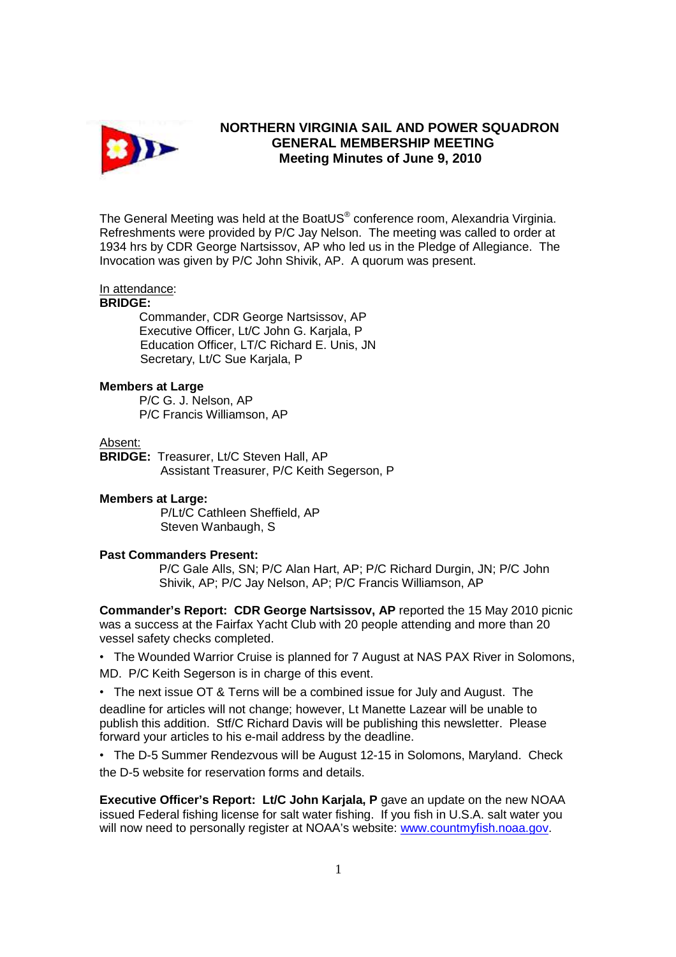

## **NORTHERN VIRGINIA SAIL AND POWER SQUADRON GENERAL MEMBERSHIP MEETING Meeting Minutes of June 9, 2010**

The General Meeting was held at the BoatUS $^{\circ}$  conference room, Alexandria Virginia. Refreshments were provided by P/C Jay Nelson. The meeting was called to order at 1934 hrs by CDR George Nartsissov, AP who led us in the Pledge of Allegiance. The Invocation was given by P/C John Shivik, AP. A quorum was present.

# In attendance:

### **BRIDGE:**

 Commander, CDR George Nartsissov, AP Executive Officer, Lt/C John G. Karjala, P Education Officer, LT/C Richard E. Unis, JN Secretary, Lt/C Sue Karjala, P

#### **Members at Large**

P/C G. J. Nelson, AP P/C Francis Williamson, AP

#### Absent:

**BRIDGE:** Treasurer, Lt/C Steven Hall, AP Assistant Treasurer, P/C Keith Segerson, P

#### **Members at Large:**

 P/Lt/C Cathleen Sheffield, AP Steven Wanbaugh, S

#### **Past Commanders Present:**

P/C Gale Alls, SN; P/C Alan Hart, AP; P/C Richard Durgin, JN; P/C John Shivik, AP; P/C Jay Nelson, AP; P/C Francis Williamson, AP

**Commander's Report: CDR George Nartsissov, AP** reported the 15 May 2010 picnic was a success at the Fairfax Yacht Club with 20 people attending and more than 20 vessel safety checks completed.

• The Wounded Warrior Cruise is planned for 7 August at NAS PAX River in Solomons, MD. P/C Keith Segerson is in charge of this event.

• The next issue OT & Terns will be a combined issue for July and August. The deadline for articles will not change; however, Lt Manette Lazear will be unable to publish this addition. Stf/C Richard Davis will be publishing this newsletter. Please forward your articles to his e-mail address by the deadline.

• The D-5 Summer Rendezvous will be August 12-15 in Solomons, Maryland. Check the D-5 website for reservation forms and details.

**Executive Officer's Report: Lt/C John Karjala, P** gave an update on the new NOAA issued Federal fishing license for salt water fishing. If you fish in U.S.A. salt water you will now need to personally register at NOAA's website: www.countmyfish.noaa.gov.